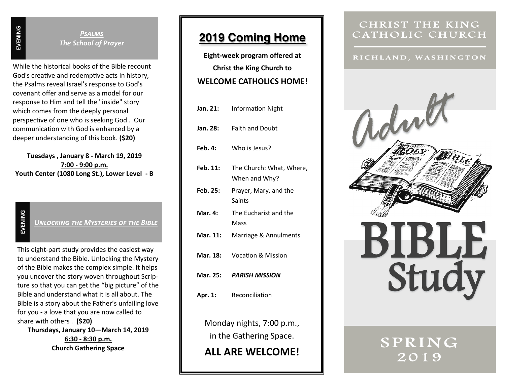*Psalms The School of Prayer*

While the historical books of the Bible recount God's creative and redemptive acts in history, the Psalms reveal Israel's response to God's covenant offer and serve as a model for our response to Him and tell the "inside" story which comes from the deeply personal perspective of one who is seeking God . Our communication with God is enhanced by a deeper understanding of this book. **(\$20)**

**Tuesdays , January 8 - March 19, 2019 7:00 - 9:00 p.m. Youth Center (1080 Long St.), Lower Level - B**

**EVENING**

*Unlocking the Mysteries of the Bible*

This eight -part study provides the easiest way to understand the Bible. Unlocking the Mystery of the Bible makes the complex simple. It helps you uncover the story woven throughout Scripture so that you can get the "big picture" of the Bible and understand what it is all about. The Bible is a story about the Father 's unfailing love for you - a love that you are now called to share with others . **(\$20) Thursdays, January 10 —March 14, 2019**

> **6:30 - 8:30 p.m. Church Gathering Space**

## **2019 Coming Home**

**Eight -week program offered at Christ the King Church to WELCOME CATHOLICS HOME!** 

| Jan. 21:                                             | <b>Information Night</b>                  |  |
|------------------------------------------------------|-------------------------------------------|--|
| Jan. 28:                                             | <b>Faith and Doubt</b>                    |  |
| <b>Feb. 4:</b>                                       | Who is Jesus?                             |  |
| Feb. 11:                                             | The Church: What, Where,<br>When and Why? |  |
| Feb. 25:                                             | Prayer, Mary, and the<br><b>Saints</b>    |  |
| Mar. 4:                                              | The Eucharist and the<br>Mass             |  |
| Mar. 11:                                             | Marriage & Annulments                     |  |
| Mar. 18:                                             | <b>Vocation &amp; Mission</b>             |  |
| Mar. 25:                                             | <b>PARISH MISSION</b>                     |  |
| Apr. 1:                                              | Reconciliation                            |  |
| Monday nights, 7:00 p.m.,<br>in the Gathering Space. |                                           |  |
| ALL ARE WELCOME!                                     |                                           |  |

### CHRIST THE KING CATHOLIC CHURCH

RICHLAND, WASHINGTON



SPRING 2019